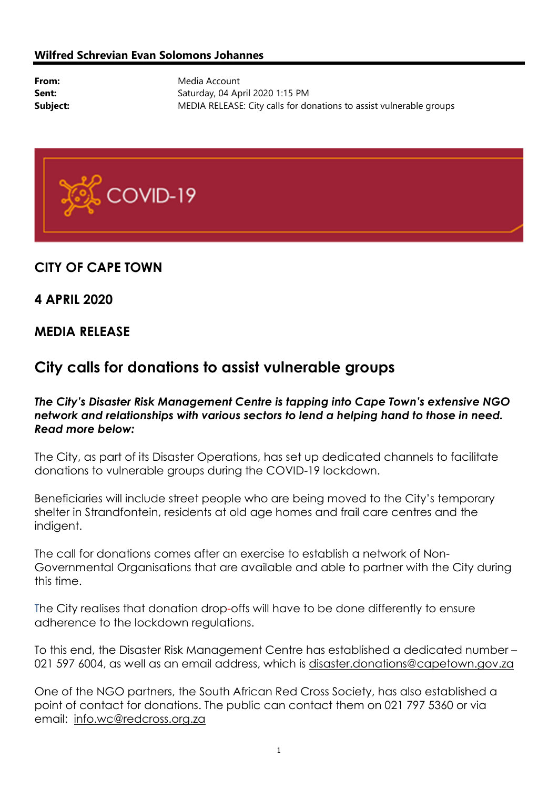#### Wilfred Schrevian Evan Solomons Johannes

From: Media Account Sent: Saturday, 04 April 2020 1:15 PM **Subject:** MEDIA RELEASE: City calls for donations to assist vulnerable groups



## CITY OF CAPE TOWN

## 4 APRIL 2020

## MEDIA RELEASE

# City calls for donations to assist vulnerable groups

### The City's Disaster Risk Management Centre is tapping into Cape Town's extensive NGO network and relationships with various sectors to lend a helping hand to those in need. Read more below:

The City, as part of its Disaster Operations, has set up dedicated channels to facilitate donations to vulnerable groups during the COVID-19 lockdown.

Beneficiaries will include street people who are being moved to the City's temporary shelter in Strandfontein, residents at old age homes and frail care centres and the indigent.

The call for donations comes after an exercise to establish a network of Non-Governmental Organisations that are available and able to partner with the City during this time.

The City realises that donation drop-offs will have to be done differently to ensure adherence to the lockdown regulations.

To this end, the Disaster Risk Management Centre has established a dedicated number – 021 597 6004, as well as an email address, which is disaster.donations@capetown.gov.za

One of the NGO partners, the South African Red Cross Society, has also established a point of contact for donations. The public can contact them on 021 797 5360 or via email: info.wc@redcross.org.za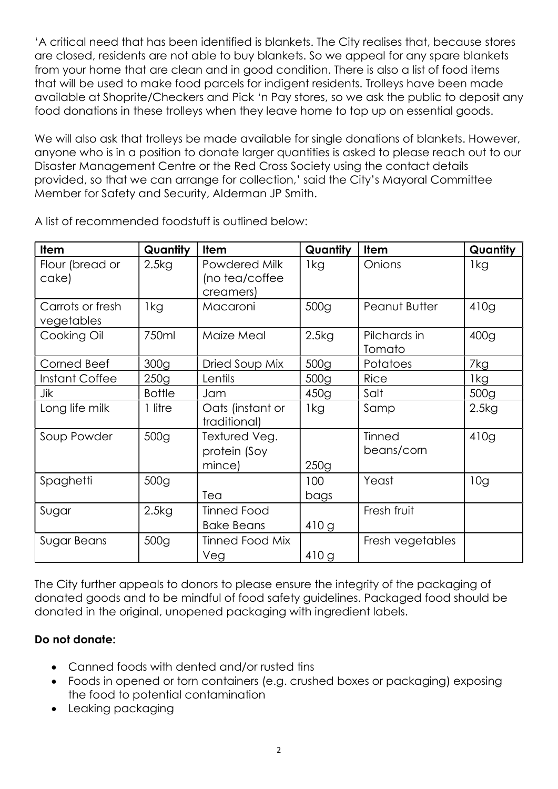'A critical need that has been identified is blankets. The City realises that, because stores are closed, residents are not able to buy blankets. So we appeal for any spare blankets from your home that are clean and in good condition. There is also a list of food items that will be used to make food parcels for indigent residents. Trolleys have been made available at Shoprite/Checkers and Pick 'n Pay stores, so we ask the public to deposit any food donations in these trolleys when they leave home to top up on essential goods.

We will also ask that trolleys be made available for single donations of blankets. However, anyone who is in a position to donate larger quantities is asked to please reach out to our Disaster Management Centre or the Red Cross Society using the contact details provided, so that we can arrange for collection,' said the City's Mayoral Committee Member for Safety and Security, Alderman JP Smith.

| <b>Item</b>                    | Quantity         | Item                                         | Quantity         | <b>Item</b>            | Quantity         |
|--------------------------------|------------------|----------------------------------------------|------------------|------------------------|------------------|
| Flour (bread or<br>cake)       | 2.5kg            | Powdered Milk<br>(no tea/coffee<br>creamers) | 1kg              | Onions                 | 1kg              |
| Carrots or fresh<br>vegetables | 1kg              | Macaroni                                     | 500 <sub>g</sub> | Peanut Butter          | 410g             |
| Cooking Oil                    | 750ml            | Maize Meal                                   | 2.5kg            | Pilchards in<br>Tomato | 400 <sub>g</sub> |
| Corned Beef                    | 300 <sub>g</sub> | Dried Soup Mix                               | 500 <sub>g</sub> | Potatoes               | 7kg              |
| Instant Coffee                 | 250g             | Lentils                                      | 500 <sub>g</sub> | <b>Rice</b>            | 1kg              |
| Jik                            | <b>Bottle</b>    | Jam                                          | 450q             | Salt                   | 500 <sub>q</sub> |
| Long life milk                 | 1 litre          | Oats (instant or<br>traditional)             | 1kg              | Samp                   | 2.5kg            |
| Soup Powder                    | 500 <sub>g</sub> | Textured Veg.<br>protein (Soy<br>mince)      | 250g             | Tinned<br>beans/corn   | 410g             |
| Spaghetti                      | 500 <sub>g</sub> | Tea                                          | 100<br>bags      | Yeast                  | 10g              |
| Sugar                          | 2.5kg            | Tinned Food<br><b>Bake Beans</b>             | 410g             | Fresh fruit            |                  |
| Sugar Beans                    | 500 <sub>g</sub> | <b>Tinned Food Mix</b><br>Veg                | 410g             | Fresh vegetables       |                  |

A list of recommended foodstuff is outlined below:

The City further appeals to donors to please ensure the integrity of the packaging of donated goods and to be mindful of food safety guidelines. Packaged food should be donated in the original, unopened packaging with ingredient labels.

## Do not donate:

- Canned foods with dented and/or rusted tins
- Foods in opened or torn containers (e.g. crushed boxes or packaging) exposing the food to potential contamination
- Leaking packaging